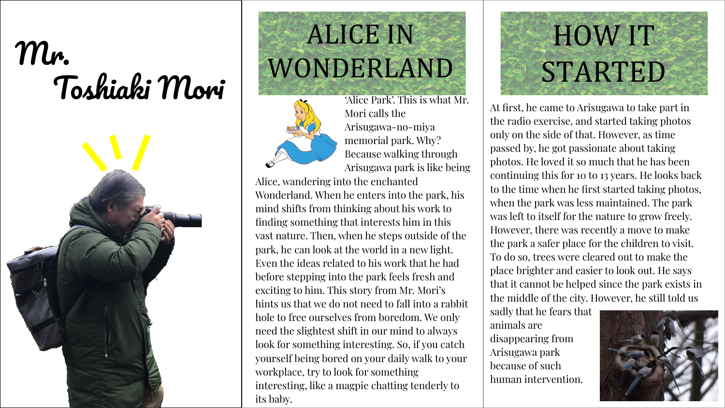## Mr. HOW IT<br>Toshiaki Mori WONDERLAND STARTED



## ALICE IN WONDERLAND



'Alice Park'. This is what Mr. Mori calls the Arisugawa-no-miya memorial park. Why? Because walking through Arisugawa park is like being

Alice, wandering into the enchanted Wonderland. When he enters into the park, his mind shifts from thinking about his work to finding something that interests him in this vast nature. Then, when he steps outside of the park, he can look at the world in a new light. Even the ideas related to his work that he had before stepping into the park feels fresh and exciting to him. This story from Mr. Mori's hints us that we do not need to fall into a rabbit hole to free ourselves from boredom. We only need the slightest shift in our mind to always look for something interesting. So, if you catch yourself being bored on your daily walk to your workplace, try to look for something interesting, like a magpie chatting tenderly to its baby.

At first, he came to Arisugawa to take part in the radio exercise, and started taking photos only on the side of that. However, as time passed by, he got passionate about taking photos. He loved it so much that he has been continuing this for 10 to 13 years. He looks back to the time when he first started taking photos, when the park was less maintained. The park was left to itself for the nature to grow freely. However, there was recently a move to make the park a safer place for the children to visit. To do so, trees were cleared out to make the place brighter and easier to look out. He says that it cannot be helped since the park exists in the middle of the city. However, he still told us

sadly that he fears that animals are disappearing from Arisugawa park because of such human intervention.